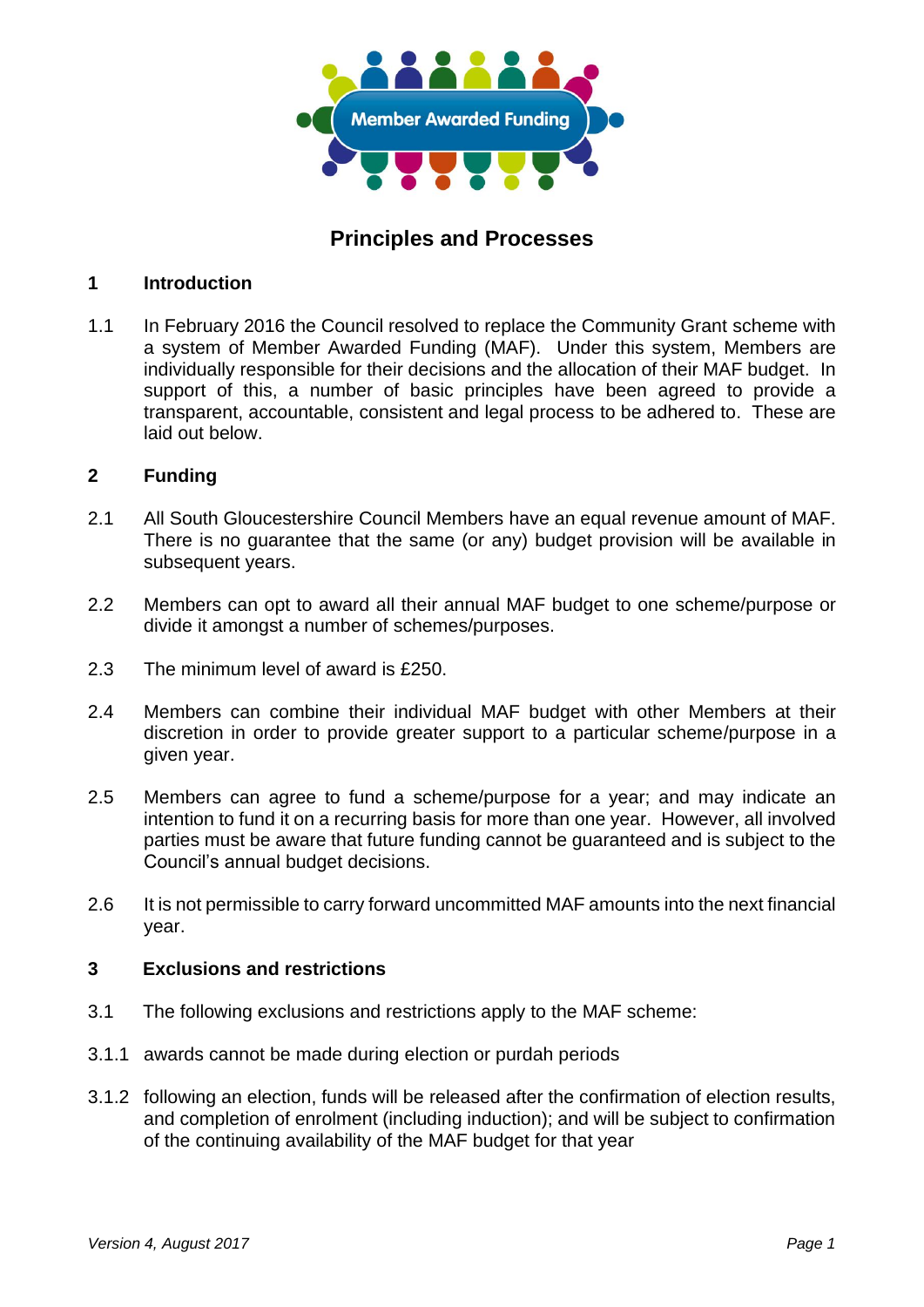

# **Principles and Processes**

#### **1 Introduction**

1.1 In February 2016 the Council resolved to replace the Community Grant scheme with a system of Member Awarded Funding (MAF). Under this system, Members are individually responsible for their decisions and the allocation of their MAF budget. In support of this, a number of basic principles have been agreed to provide a transparent, accountable, consistent and legal process to be adhered to. These are laid out below.

#### **2 Funding**

- 2.1 All South Gloucestershire Council Members have an equal revenue amount of MAF. There is no guarantee that the same (or any) budget provision will be available in subsequent years.
- 2.2 Members can opt to award all their annual MAF budget to one scheme/purpose or divide it amongst a number of schemes/purposes.
- 2.3 The minimum level of award is £250.
- 2.4 Members can combine their individual MAF budget with other Members at their discretion in order to provide greater support to a particular scheme/purpose in a given year.
- 2.5 Members can agree to fund a scheme/purpose for a year; and may indicate an intention to fund it on a recurring basis for more than one year. However, all involved parties must be aware that future funding cannot be guaranteed and is subject to the Council's annual budget decisions.
- 2.6 It is not permissible to carry forward uncommitted MAF amounts into the next financial year.

## **3 Exclusions and restrictions**

- 3.1 The following exclusions and restrictions apply to the MAF scheme:
- 3.1.1 awards cannot be made during election or purdah periods
- 3.1.2 following an election, funds will be released after the confirmation of election results, and completion of enrolment (including induction); and will be subject to confirmation of the continuing availability of the MAF budget for that year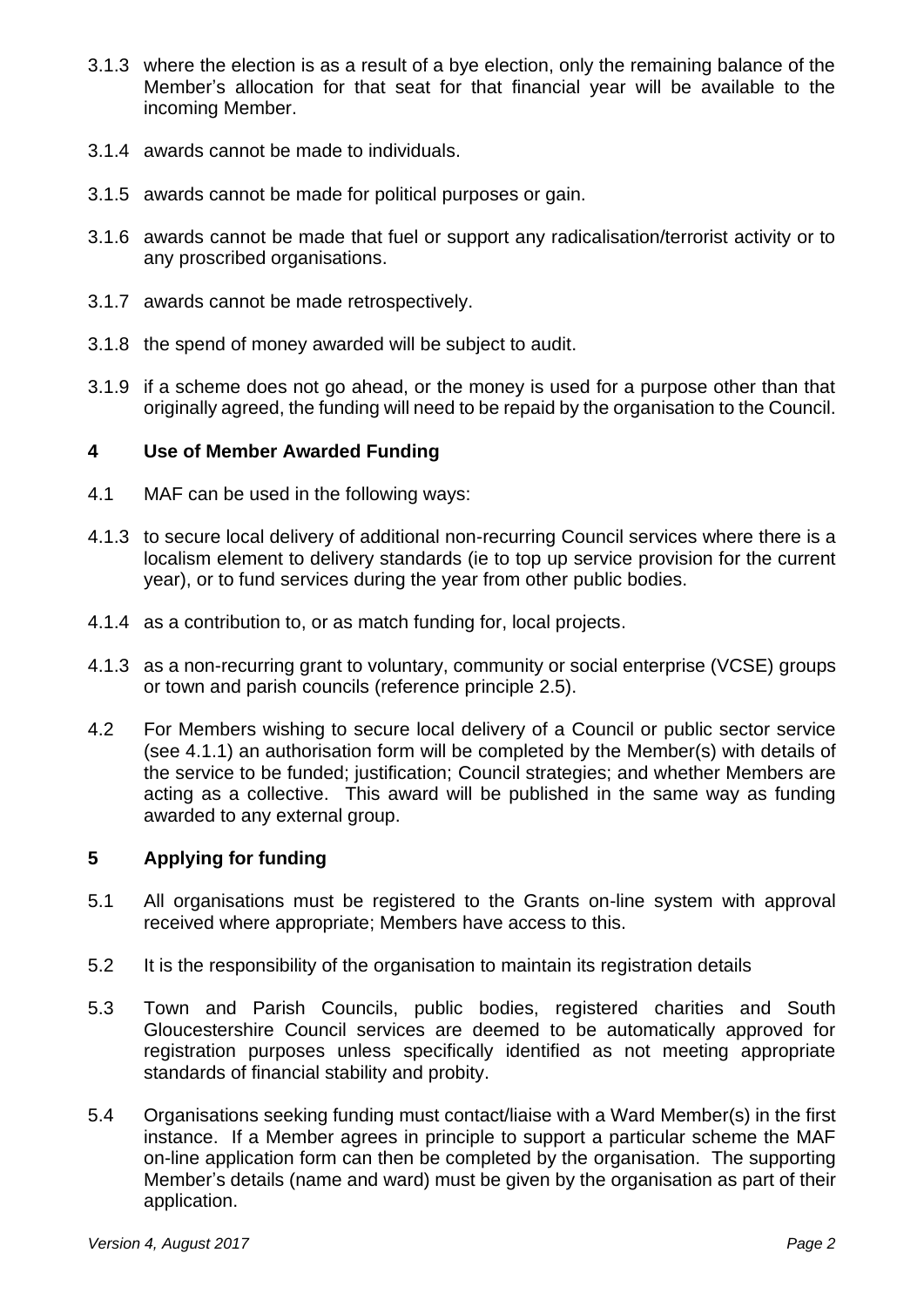- 3.1.3 where the election is as a result of a bye election, only the remaining balance of the Member's allocation for that seat for that financial year will be available to the incoming Member.
- 3.1.4 awards cannot be made to individuals.
- 3.1.5 awards cannot be made for political purposes or gain.
- 3.1.6 awards cannot be made that fuel or support any radicalisation/terrorist activity or to any proscribed organisations.
- 3.1.7 awards cannot be made retrospectively.
- 3.1.8 the spend of money awarded will be subject to audit.
- 3.1.9 if a scheme does not go ahead, or the money is used for a purpose other than that originally agreed, the funding will need to be repaid by the organisation to the Council.

#### **4 Use of Member Awarded Funding**

- 4.1 MAF can be used in the following ways:
- 4.1.3 to secure local delivery of additional non-recurring Council services where there is a localism element to delivery standards (ie to top up service provision for the current year), or to fund services during the year from other public bodies.
- 4.1.4 as a contribution to, or as match funding for, local projects.
- 4.1.3 as a non-recurring grant to voluntary, community or social enterprise (VCSE) groups or town and parish councils (reference principle 2.5).
- 4.2 For Members wishing to secure local delivery of a Council or public sector service (see 4.1.1) an authorisation form will be completed by the Member(s) with details of the service to be funded; justification; Council strategies; and whether Members are acting as a collective. This award will be published in the same way as funding awarded to any external group.

## **5 Applying for funding**

- 5.1 All organisations must be registered to the Grants on-line system with approval received where appropriate; Members have access to this.
- 5.2 It is the responsibility of the organisation to maintain its registration details
- 5.3 Town and Parish Councils, public bodies, registered charities and South Gloucestershire Council services are deemed to be automatically approved for registration purposes unless specifically identified as not meeting appropriate standards of financial stability and probity.
- 5.4 Organisations seeking funding must contact/liaise with a Ward Member(s) in the first instance. If a Member agrees in principle to support a particular scheme the MAF on-line application form can then be completed by the organisation. The supporting Member's details (name and ward) must be given by the organisation as part of their application.